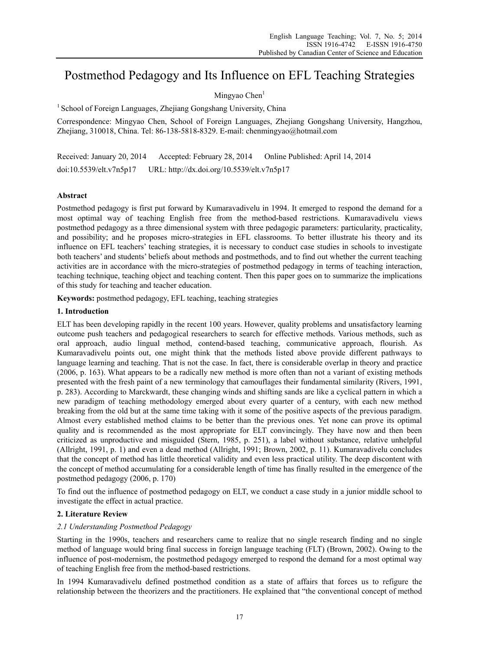# Postmethod Pedagogy and Its Influence on EFL Teaching Strategies

# Mingyao Chen<sup>1</sup>

<sup>1</sup> School of Foreign Languages, Zheijang Gongshang University, China

Correspondence: Mingyao Chen, School of Foreign Languages, Zhejiang Gongshang University, Hangzhou, Zhejiang, 310018, China. Tel: 86-138-5818-8329. E-mail: chenmingyao@hotmail.com

Received: January 20, 2014 Accepted: February 28, 2014 Online Published: April 14, 2014 doi:10.5539/elt.v7n5p17 URL: http://dx.doi.org/10.5539/elt.v7n5p17

## **Abstract**

Postmethod pedagogy is first put forward by Kumaravadivelu in 1994. It emerged to respond the demand for a most optimal way of teaching English free from the method-based restrictions. Kumaravadivelu views postmethod pedagogy as a three dimensional system with three pedagogic parameters: particularity, practicality, and possibility; and he proposes micro-strategies in EFL classrooms. To better illustrate his theory and its influence on EFL teachers' teaching strategies, it is necessary to conduct case studies in schools to investigate both teachers' and students' beliefs about methods and postmethods, and to find out whether the current teaching activities are in accordance with the micro-strategies of postmethod pedagogy in terms of teaching interaction, teaching technique, teaching object and teaching content. Then this paper goes on to summarize the implications of this study for teaching and teacher education.

**Keywords:** postmethod pedagogy, EFL teaching, teaching strategies

## **1. Introduction**

ELT has been developing rapidly in the recent 100 years. However, quality problems and unsatisfactory learning outcome push teachers and pedagogical researchers to search for effective methods. Various methods, such as oral approach, audio lingual method, contend-based teaching, communicative approach, flourish. As Kumaravadivelu points out, one might think that the methods listed above provide different pathways to language learning and teaching. That is not the case. In fact, there is considerable overlap in theory and practice (2006, p. 163). What appears to be a radically new method is more often than not a variant of existing methods presented with the fresh paint of a new terminology that camouflages their fundamental similarity (Rivers, 1991, p. 283). According to Marckwardt, these changing winds and shifting sands are like a cyclical pattern in which a new paradigm of teaching methodology emerged about every quarter of a century, with each new method breaking from the old but at the same time taking with it some of the positive aspects of the previous paradigm. Almost every established method claims to be better than the previous ones. Yet none can prove its optimal quality and is recommended as the most appropriate for ELT convincingly. They have now and then been criticized as unproductive and misguided (Stern, 1985, p. 251), a label without substance, relative unhelpful (Allright, 1991, p. 1) and even a dead method (Allright, 1991; Brown, 2002, p. 11). Kumaravadivelu concludes that the concept of method has little theoretical validity and even less practical utility. The deep discontent with the concept of method accumulating for a considerable length of time has finally resulted in the emergence of the postmethod pedagogy (2006, p. 170)

To find out the influence of postmethod pedagogy on ELT, we conduct a case study in a junior middle school to investigate the effect in actual practice.

## **2. Literature Review**

## *2.1 Understanding Postmethod Pedagogy*

Starting in the 1990s, teachers and researchers came to realize that no single research finding and no single method of language would bring final success in foreign language teaching (FLT) (Brown, 2002). Owing to the influence of post-modernism, the postmethod pedagogy emerged to respond the demand for a most optimal way of teaching English free from the method-based restrictions.

In 1994 Kumaravadivelu defined postmethod condition as a state of affairs that forces us to refigure the relationship between the theorizers and the practitioners. He explained that "the conventional concept of method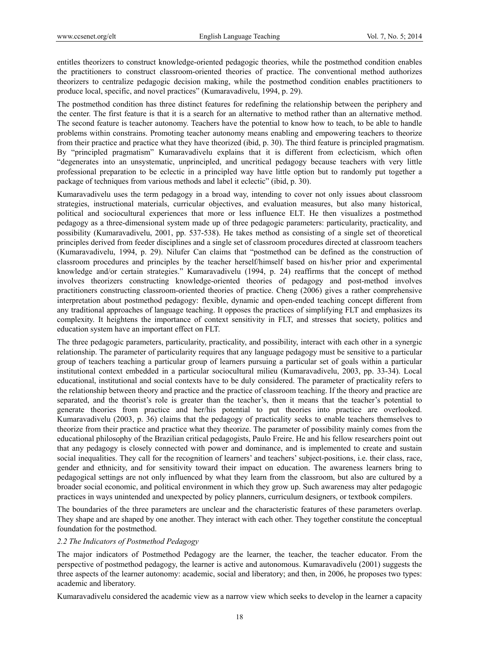entitles theorizers to construct knowledge-oriented pedagogic theories, while the postmethod condition enables the practitioners to construct classroom-oriented theories of practice. The conventional method authorizes theorizers to centralize pedagogic decision making, while the postmethod condition enables practitioners to produce local, specific, and novel practices" (Kumaravadivelu, 1994, p. 29).

The postmethod condition has three distinct features for redefining the relationship between the periphery and the center. The first feature is that it is a search for an alternative to method rather than an alternative method. The second feature is teacher autonomy. Teachers have the potential to know how to teach, to be able to handle problems within constrains. Promoting teacher autonomy means enabling and empowering teachers to theorize from their practice and practice what they have theorized (ibid, p. 30). The third feature is principled pragmatism. By "principled pragmatism" Kumaravadivelu explains that it is different from eclecticism, which often "degenerates into an unsystematic, unprincipled, and uncritical pedagogy because teachers with very little professional preparation to be eclectic in a principled way have little option but to randomly put together a package of techniques from various methods and label it eclectic" (ibid, p. 30).

Kumaravadivelu uses the term pedagogy in a broad way, intending to cover not only issues about classroom strategies, instructional materials, curricular objectives, and evaluation measures, but also many historical, political and sociocultural experiences that more or less influence ELT. He then visualizes a postmethod pedagogy as a three-dimensional system made up of three pedagogic parameters: particularity, practicality, and possibility (Kumaravadivelu, 2001, pp. 537-538). He takes method as consisting of a single set of theoretical principles derived from feeder disciplines and a single set of classroom procedures directed at classroom teachers (Kumaravadivelu, 1994, p. 29). Nilufer Can claims that "postmethod can be defined as the construction of classroom procedures and principles by the teacher herself/himself based on his/her prior and experimental knowledge and/or certain strategies." Kumaravadivelu (1994, p. 24) reaffirms that the concept of method involves theorizers constructing knowledge-oriented theories of pedagogy and post-method involves practitioners constructing classroom-oriented theories of practice. Cheng (2006) gives a rather comprehensive interpretation about postmethod pedagogy: flexible, dynamic and open-ended teaching concept different from any traditional approaches of language teaching. It opposes the practices of simplifying FLT and emphasizes its complexity. It heightens the importance of context sensitivity in FLT, and stresses that society, politics and education system have an important effect on FLT.

The three pedagogic parameters, particularity, practicality, and possibility, interact with each other in a synergic relationship. The parameter of particularity requires that any language pedagogy must be sensitive to a particular group of teachers teaching a particular group of learners pursuing a particular set of goals within a particular institutional context embedded in a particular sociocultural milieu (Kumaravadivelu, 2003, pp. 33-34). Local educational, institutional and social contexts have to be duly considered. The parameter of practicality refers to the relationship between theory and practice and the practice of classroom teaching. If the theory and practice are separated, and the theorist's role is greater than the teacher's, then it means that the teacher's potential to generate theories from practice and her/his potential to put theories into practice are overlooked. Kumaravadivelu (2003, p. 36) claims that the pedagogy of practicality seeks to enable teachers themselves to theorize from their practice and practice what they theorize. The parameter of possibility mainly comes from the educational philosophy of the Brazilian critical pedagogists, Paulo Freire. He and his fellow researchers point out that any pedagogy is closely connected with power and dominance, and is implemented to create and sustain social inequalities. They call for the recognition of learners' and teachers' subject-positions, i.e. their class, race, gender and ethnicity, and for sensitivity toward their impact on education. The awareness learners bring to pedagogical settings are not only influenced by what they learn from the classroom, but also are cultured by a broader social economic, and political environment in which they grow up. Such awareness may alter pedagogic practices in ways unintended and unexpected by policy planners, curriculum designers, or textbook compilers.

The boundaries of the three parameters are unclear and the characteristic features of these parameters overlap. They shape and are shaped by one another. They interact with each other. They together constitute the conceptual foundation for the postmethod.

## *2.2 The Indicators of Postmethod Pedagogy*

The major indicators of Postmethod Pedagogy are the learner, the teacher, the teacher educator. From the perspective of postmethod pedagogy, the learner is active and autonomous. Kumaravadivelu (2001) suggests the three aspects of the learner autonomy: academic, social and liberatory; and then, in 2006, he proposes two types: academic and liberatory.

Kumaravadivelu considered the academic view as a narrow view which seeks to develop in the learner a capacity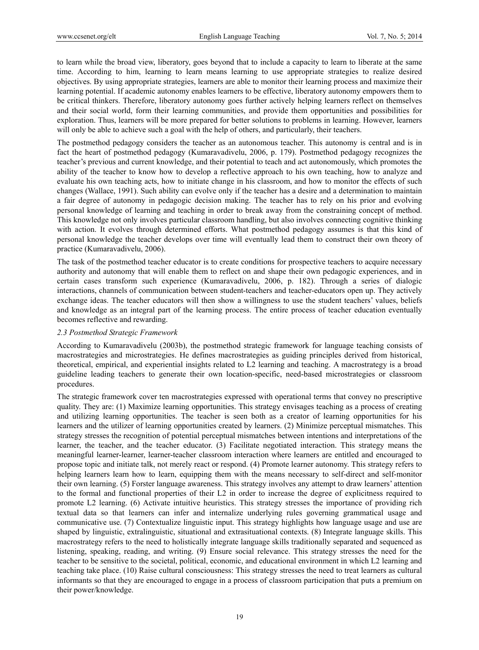to learn while the broad view, liberatory, goes beyond that to include a capacity to learn to liberate at the same time. According to him, learning to learn means learning to use appropriate strategies to realize desired objectives. By using appropriate strategies, learners are able to monitor their learning process and maximize their learning potential. If academic autonomy enables learners to be effective, liberatory autonomy empowers them to be critical thinkers. Therefore, liberatory autonomy goes further actively helping learners reflect on themselves and their social world, form their learning communities, and provide them opportunities and possibilities for exploration. Thus, learners will be more prepared for better solutions to problems in learning. However, learners will only be able to achieve such a goal with the help of others, and particularly, their teachers.

The postmethod pedagogy considers the teacher as an autonomous teacher. This autonomy is central and is in fact the heart of postmethod pedagogy (Kumaravadivelu, 2006, p. 179). Postmethod pedagogy recognizes the teacher's previous and current knowledge, and their potential to teach and act autonomously, which promotes the ability of the teacher to know how to develop a reflective approach to his own teaching, how to analyze and evaluate his own teaching acts, how to initiate change in his classroom, and how to monitor the effects of such changes (Wallace, 1991). Such ability can evolve only if the teacher has a desire and a determination to maintain a fair degree of autonomy in pedagogic decision making. The teacher has to rely on his prior and evolving personal knowledge of learning and teaching in order to break away from the constraining concept of method. This knowledge not only involves particular classroom handling, but also involves connecting cognitive thinking with action. It evolves through determined efforts. What postmethod pedagogy assumes is that this kind of personal knowledge the teacher develops over time will eventually lead them to construct their own theory of practice (Kumaravadivelu, 2006).

The task of the postmethod teacher educator is to create conditions for prospective teachers to acquire necessary authority and autonomy that will enable them to reflect on and shape their own pedagogic experiences, and in certain cases transform such experience (Kumaravadivelu, 2006, p. 182). Through a series of dialogic interactions, channels of communication between student-teachers and teacher-educators open up. They actively exchange ideas. The teacher educators will then show a willingness to use the student teachers' values, beliefs and knowledge as an integral part of the learning process. The entire process of teacher education eventually becomes reflective and rewarding.

## *2.3 Postmethod Strategic Framework*

According to Kumaravadivelu (2003b), the postmethod strategic framework for language teaching consists of macrostrategies and microstrategies. He defines macrostrategies as guiding principles derived from historical, theoretical, empirical, and experiential insights related to L2 learning and teaching. A macrostrategy is a broad guideline leading teachers to generate their own location-specific, need-based microstrategies or classroom procedures.

The strategic framework cover ten macrostrategies expressed with operational terms that convey no prescriptive quality. They are: (1) Maximize learning opportunities. This strategy envisages teaching as a process of creating and utilizing learning opportunities. The teacher is seen both as a creator of learning opportunities for his learners and the utilizer of learning opportunities created by learners. (2) Minimize perceptual mismatches. This strategy stresses the recognition of potential perceptual mismatches between intentions and interpretations of the learner, the teacher, and the teacher educator. (3) Facilitate negotiated interaction. This strategy means the meaningful learner-learner, learner-teacher classroom interaction where learners are entitled and encouraged to propose topic and initiate talk, not merely react or respond. (4) Promote learner autonomy. This strategy refers to helping learners learn how to learn, equipping them with the means necessary to self-direct and self-monitor their own learning. (5) Forster language awareness. This strategy involves any attempt to draw learners' attention to the formal and functional properties of their L2 in order to increase the degree of explicitness required to promote L2 learning. (6) Activate intuitive heuristics. This strategy stresses the importance of providing rich textual data so that learners can infer and internalize underlying rules governing grammatical usage and communicative use. (7) Contextualize linguistic input. This strategy highlights how language usage and use are shaped by linguistic, extralinguistic, situational and extrasituational contexts. (8) Integrate language skills. This macrostrategy refers to the need to holistically integrate language skills traditionally separated and sequenced as listening, speaking, reading, and writing. (9) Ensure social relevance. This strategy stresses the need for the teacher to be sensitive to the societal, political, economic, and educational environment in which L2 learning and teaching take place. (10) Raise cultural consciousness: This strategy stresses the need to treat learners as cultural informants so that they are encouraged to engage in a process of classroom participation that puts a premium on their power/knowledge.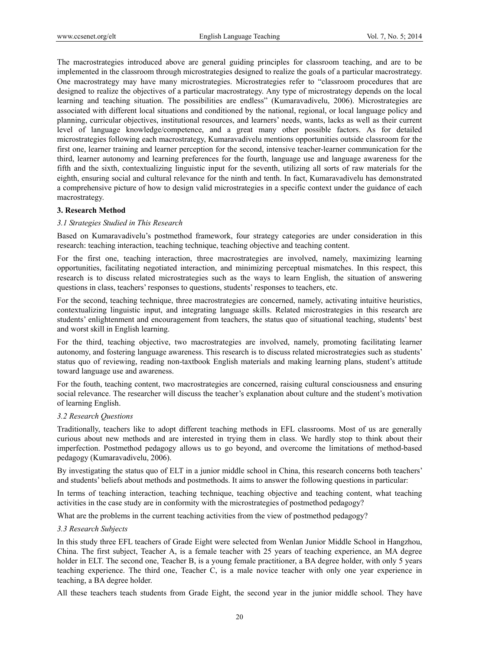The macrostrategies introduced above are general guiding principles for classroom teaching, and are to be implemented in the classroom through microstrategies designed to realize the goals of a particular macrostrategy. One macrostrategy may have many microstrategies. Microstrategies refer to "classroom procedures that are designed to realize the objectives of a particular macrostrategy. Any type of microstrategy depends on the local learning and teaching situation. The possibilities are endless" (Kumaravadivelu, 2006). Microstrategies are associated with different local situations and conditioned by the national, regional, or local language policy and planning, curricular objectives, institutional resources, and learners' needs, wants, lacks as well as their current level of language knowledge/competence, and a great many other possible factors. As for detailed microstrategies following each macrostrategy, Kumaravadivelu mentions opportunities outside classroom for the first one, learner training and learner perception for the second, intensive teacher-learner communication for the third, learner autonomy and learning preferences for the fourth, language use and language awareness for the fifth and the sixth, contextualizing linguistic input for the seventh, utilizing all sorts of raw materials for the eighth, ensuring social and cultural relevance for the ninth and tenth. In fact, Kumaravadivelu has demonstrated a comprehensive picture of how to design valid microstrategies in a specific context under the guidance of each macrostrategy.

## **3. Research Method**

#### *3.1 Strategies Studied in This Research*

Based on Kumaravadivelu's postmethod framework, four strategy categories are under consideration in this research: teaching interaction, teaching technique, teaching objective and teaching content.

For the first one, teaching interaction, three macrostrategies are involved, namely, maximizing learning opportunities, facilitating negotiated interaction, and minimizing perceptual mismatches. In this respect, this research is to discuss related microstrategies such as the ways to learn English, the situation of answering questions in class, teachers' responses to questions, students' responses to teachers, etc.

For the second, teaching technique, three macrostrategies are concerned, namely, activating intuitive heuristics, contextualizing linguistic input, and integrating language skills. Related microstrategies in this research are students' enlightenment and encouragement from teachers, the status quo of situational teaching, students' best and worst skill in English learning.

For the third, teaching objective, two macrostrategies are involved, namely, promoting facilitating learner autonomy, and fostering language awareness. This research is to discuss related microstrategies such as students' status quo of reviewing, reading non-taxtbook English materials and making learning plans, student's attitude toward language use and awareness.

For the fouth, teaching content, two macrostrategies are concerned, raising cultural consciousness and ensuring social relevance. The researcher will discuss the teacher's explanation about culture and the student's motivation of learning English.

#### *3.2 Research Questions*

Traditionally, teachers like to adopt different teaching methods in EFL classrooms. Most of us are generally curious about new methods and are interested in trying them in class. We hardly stop to think about their imperfection. Postmethod pedagogy allows us to go beyond, and overcome the limitations of method-based pedagogy (Kumaravadivelu, 2006).

By investigating the status quo of ELT in a junior middle school in China, this research concerns both teachers' and students' beliefs about methods and postmethods. It aims to answer the following questions in particular:

In terms of teaching interaction, teaching technique, teaching objective and teaching content, what teaching activities in the case study are in conformity with the microstrategies of postmethod pedagogy?

What are the problems in the current teaching activities from the view of postmethod pedagogy?

#### *3.3 Research Subjects*

In this study three EFL teachers of Grade Eight were selected from Wenlan Junior Middle School in Hangzhou, China. The first subject, Teacher A, is a female teacher with 25 years of teaching experience, an MA degree holder in ELT. The second one, Teacher B, is a young female practitioner, a BA degree holder, with only 5 years teaching experience. The third one, Teacher C, is a male novice teacher with only one year experience in teaching, a BA degree holder.

All these teachers teach students from Grade Eight, the second year in the junior middle school. They have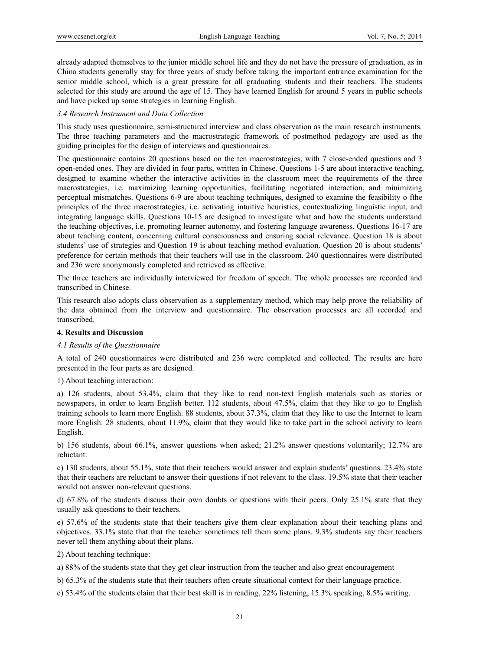already adapted themselves to the junior middle school life and they do not have the pressure of graduation, as in China students generally stay for three years of study before taking the important entrance examination for the senior middle school, which is a great pressure for all graduating students and their teachers. The students selected for this study are around the age of 15. They have learned English for around 5 years in public schools and have picked up some strategies in learning English.

## *3.4 Research Instrument and Data Collection*

This study uses questionnaire, semi-structured interview and class observation as the main research instruments. The three teaching parameters and the macrostrategic framework of postmethod pedagogy are used as the guiding principles for the design of interviews and questionnaires.

The questionnaire contains 20 questions based on the ten macrostrategies, with 7 close-ended questions and 3 open-ended ones. They are divided in four parts, written in Chinese. Questions 1-5 are about interactive teaching, designed to examine whether the interactive activities in the classroom meet the requirements of the three macrostrategies, i.e. maximizing learning opportunities, facilitating negotiated interaction, and minimizing perceptual mismatches. Questions 6-9 are about teaching techniques, designed to examine the feasibility o fthe principles of the three macrostrategies, i.e. activating intuitive heuristics, contextualizing linguistic input, and integrating language skills. Questions 10-15 are designed to investigate what and how the students understand the teaching objectives, i.e. promoting learner autonomy, and fostering language awareness. Questions 16-17 are about teaching content, concerning cultural consciousness and ensuring social relevance. Question 18 is about students' use of strategies and Question 19 is about teaching method evaluation. Question 20 is about students' preference for certain methods that their teachers will use in the classroom. 240 questionnaires were distributed and 236 were anonymously completed and retrieved as effective.

The three teachers are individually interviewed for freedom of speech. The whole processes are recorded and transcribed in Chinese.

This research also adopts class observation as a supplementary method, which may help prove the reliability of the data obtained from the interview and questionnaire. The observation processes are all recorded and transcribed.

#### **4. Results and Discussion**

#### *4.1 Results of the Questionnaire*

A total of 240 questionnaires were distributed and 236 were completed and collected. The results are here presented in the four parts as are designed.

1) About teaching interaction:

a) 126 students, about 53.4%, claim that they like to read non-text English materials such as stories or newspapers, in order to learn English better. 112 students, about 47.5%, claim that they like to go to English training schools to learn more English. 88 students, about 37.3%, claim that they like to use the Internet to learn more English. 28 students, about 11.9%, claim that they would like to take part in the school activity to learn English.

b) 156 students, about 66.1%, answer questions when asked; 21.2% answer questions voluntarily; 12.7% are reluctant.

c) 130 students, about 55.1%, state that their teachers would answer and explain students' questions. 23.4% state that their teachers are reluctant to answer their questions if not relevant to the class. 19.5% state that their teacher would not answer non-relevant questions.

d) 67.8% of the students discuss their own doubts or questions with their peers. Only 25.1% state that they usually ask questions to their teachers.

e) 57.6% of the students state that their teachers give them clear explanation about their teaching plans and objectives. 33.1% state that that the teacher sometimes tell them some plans. 9.3% students say their teachers never tell them anything about their plans.

2) About teaching technique:

a) 88% of the students state that they get clear instruction from the teacher and also great encouragement

b) 65.3% of the students state that their teachers often create situational context for their language practice.

c) 53.4% of the students claim that their best skill is in reading, 22% listening, 15.3% speaking, 8.5% writing.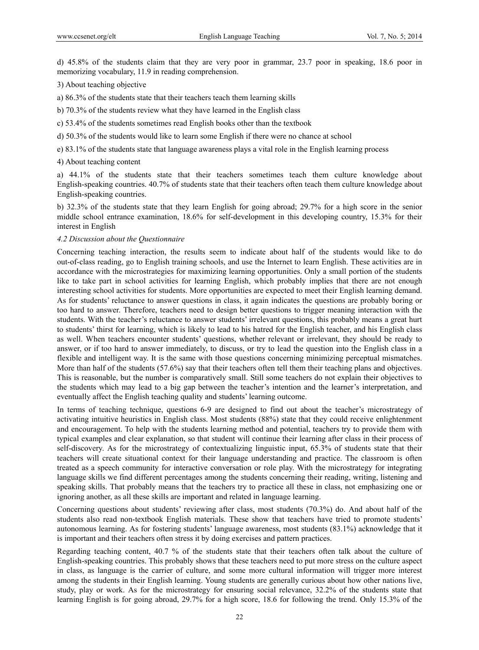d) 45.8% of the students claim that they are very poor in grammar, 23.7 poor in speaking, 18.6 poor in memorizing vocabulary, 11.9 in reading comprehension.

## 3) About teaching objective

a) 86.3% of the students state that their teachers teach them learning skills

- b) 70.3% of the students review what they have learned in the English class
- c) 53.4% of the students sometimes read English books other than the textbook
- d) 50.3% of the students would like to learn some English if there were no chance at school
- e) 83.1% of the students state that language awareness plays a vital role in the English learning process

4) About teaching content

a) 44.1% of the students state that their teachers sometimes teach them culture knowledge about English-speaking countries. 40.7% of students state that their teachers often teach them culture knowledge about English-speaking countries.

b) 32.3% of the students state that they learn English for going abroad; 29.7% for a high score in the senior middle school entrance examination, 18.6% for self-development in this developing country, 15.3% for their interest in English

#### *4.2 Discussion about the Questionnaire*

Concerning teaching interaction, the results seem to indicate about half of the students would like to do out-of-class reading, go to English training schools, and use the Internet to learn English. These activities are in accordance with the microstrategies for maximizing learning opportunities. Only a small portion of the students like to take part in school activities for learning English, which probably implies that there are not enough interesting school activities for students. More opportunities are expected to meet their English learning demand. As for students' reluctance to answer questions in class, it again indicates the questions are probably boring or too hard to answer. Therefore, teachers need to design better questions to trigger meaning interaction with the students. With the teacher's reluctance to answer students' irrelevant questions, this probably means a great hurt to students' thirst for learning, which is likely to lead to his hatred for the English teacher, and his English class as well. When teachers encounter students' questions, whether relevant or irrelevant, they should be ready to answer, or if too hard to answer immediately, to discuss, or try to lead the question into the English class in a flexible and intelligent way. It is the same with those questions concerning minimizing perceptual mismatches. More than half of the students (57.6%) say that their teachers often tell them their teaching plans and objectives. This is reasonable, but the number is comparatively small. Still some teachers do not explain their objectives to the students which may lead to a big gap between the teacher's intention and the learner's interpretation, and eventually affect the English teaching quality and students' learning outcome.

In terms of teaching technique, questions 6-9 are designed to find out about the teacher's microstrategy of activating intuitive heuristics in English class. Most students (88%) state that they could receive enlightenment and encouragement. To help with the students learning method and potential, teachers try to provide them with typical examples and clear explanation, so that student will continue their learning after class in their process of self-discovery. As for the microstrategy of contextualizing linguistic input, 65.3% of students state that their teachers will create situational context for their language understanding and practice. The classroom is often treated as a speech community for interactive conversation or role play. With the microstrategy for integrating language skills we find different percentages among the students concerning their reading, writing, listening and speaking skills. That probably means that the teachers try to practice all these in class, not emphasizing one or ignoring another, as all these skills are important and related in language learning.

Concerning questions about students' reviewing after class, most students (70.3%) do. And about half of the students also read non-textbook English materials. These show that teachers have tried to promote students' autonomous learning. As for fostering students' language awareness, most students (83.1%) acknowledge that it is important and their teachers often stress it by doing exercises and pattern practices.

Regarding teaching content, 40.7 % of the students state that their teachers often talk about the culture of English-speaking countries. This probably shows that these teachers need to put more stress on the culture aspect in class, as language is the carrier of culture, and some more cultural information will trigger more interest among the students in their English learning. Young students are generally curious about how other nations live, study, play or work. As for the microstrategy for ensuring social relevance, 32.2% of the students state that learning English is for going abroad, 29.7% for a high score, 18.6 for following the trend. Only 15.3% of the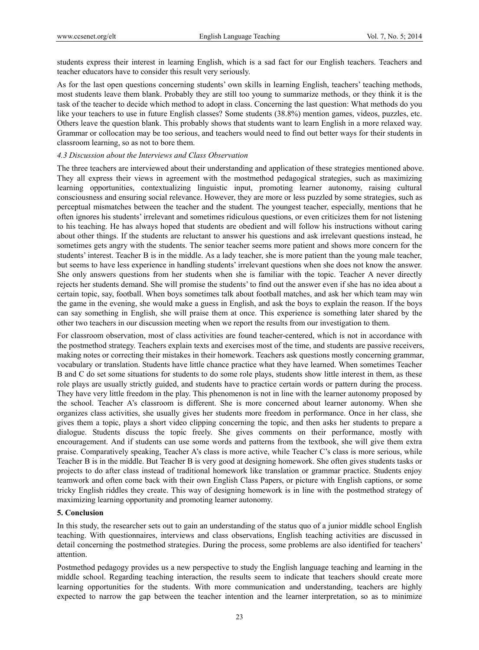students express their interest in learning English, which is a sad fact for our English teachers. Teachers and teacher educators have to consider this result very seriously.

As for the last open questions concerning students' own skills in learning English, teachers' teaching methods, most students leave them blank. Probably they are still too young to summarize methods, or they think it is the task of the teacher to decide which method to adopt in class. Concerning the last question: What methods do you like your teachers to use in future English classes? Some students (38.8%) mention games, videos, puzzles, etc. Others leave the question blank. This probably shows that students want to learn English in a more relaxed way. Grammar or collocation may be too serious, and teachers would need to find out better ways for their students in classroom learning, so as not to bore them.

## *4.3 Discussion about the Interviews and Class Observation*

The three teachers are interviewed about their understanding and application of these strategies mentioned above. They all express their views in agreement with the mostmethod pedagogical strategies, such as maximizing learning opportunities, contextualizing linguistic input, promoting learner autonomy, raising cultural consciousness and ensuring social relevance. However, they are more or less puzzled by some strategies, such as perceptual mismatches between the teacher and the student. The youngest teacher, especially, mentions that he often ignores his students' irrelevant and sometimes ridiculous questions, or even criticizes them for not listening to his teaching. He has always hoped that students are obedient and will follow his instructions without caring about other things. If the students are reluctant to answer his questions and ask irrelevant questions instead, he sometimes gets angry with the students. The senior teacher seems more patient and shows more concern for the students' interest. Teacher B is in the middle. As a lady teacher, she is more patient than the young male teacher, but seems to have less experience in handling students' irrelevant questions when she does not know the answer. She only answers questions from her students when she is familiar with the topic. Teacher A never directly rejects her students demand. She will promise the students' to find out the answer even if she has no idea about a certain topic, say, football. When boys sometimes talk about football matches, and ask her which team may win the game in the evening, she would make a guess in English, and ask the boys to explain the reason. If the boys can say something in English, she will praise them at once. This experience is something later shared by the other two teachers in our discussion meeting when we report the results from our investigation to them.

For classroom observation, most of class activities are found teacher-centered, which is not in accordance with the postmethod strategy. Teachers explain texts and exercises most of the time, and students are passive receivers, making notes or correcting their mistakes in their homework. Teachers ask questions mostly concerning grammar, vocabulary or translation. Students have little chance practice what they have learned. When sometimes Teacher B and C do set some situations for students to do some role plays, students show little interest in them, as these role plays are usually strictly guided, and students have to practice certain words or pattern during the process. They have very little freedom in the play. This phenomenon is not in line with the learner autonomy proposed by the school. Teacher A's classroom is different. She is more concerned about learner autonomy. When she organizes class activities, she usually gives her students more freedom in performance. Once in her class, she gives them a topic, plays a short video clipping concerning the topic, and then asks her students to prepare a dialogue. Students discuss the topic freely. She gives comments on their performance, mostly with encouragement. And if students can use some words and patterns from the textbook, she will give them extra praise. Comparatively speaking, Teacher A's class is more active, while Teacher C's class is more serious, while Teacher B is in the middle. But Teacher B is very good at designing homework. She often gives students tasks or projects to do after class instead of traditional homework like translation or grammar practice. Students enjoy teamwork and often come back with their own English Class Papers, or picture with English captions, or some tricky English riddles they create. This way of designing homework is in line with the postmethod strategy of maximizing learning opportunity and promoting learner autonomy.

## **5. Conclusion**

In this study, the researcher sets out to gain an understanding of the status quo of a junior middle school English teaching. With questionnaires, interviews and class observations, English teaching activities are discussed in detail concerning the postmethod strategies. During the process, some problems are also identified for teachers' attention.

Postmethod pedagogy provides us a new perspective to study the English language teaching and learning in the middle school. Regarding teaching interaction, the results seem to indicate that teachers should create more learning opportunities for the students. With more communication and understanding, teachers are highly expected to narrow the gap between the teacher intention and the learner interpretation, so as to minimize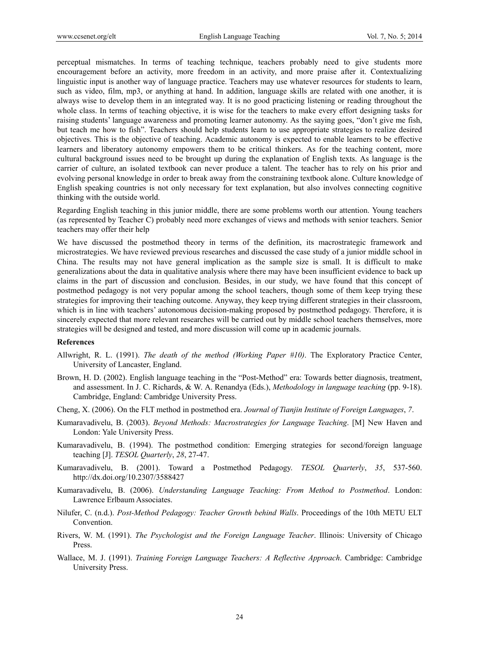perceptual mismatches. In terms of teaching technique, teachers probably need to give students more encouragement before an activity, more freedom in an activity, and more praise after it. Contextualizing linguistic input is another way of language practice. Teachers may use whatever resources for students to learn, such as video, film, mp3, or anything at hand. In addition, language skills are related with one another, it is always wise to develop them in an integrated way. It is no good practicing listening or reading throughout the whole class. In terms of teaching objective, it is wise for the teachers to make every effort designing tasks for raising students' language awareness and promoting learner autonomy. As the saying goes, "don't give me fish, but teach me how to fish". Teachers should help students learn to use appropriate strategies to realize desired objectives. This is the objective of teaching. Academic autonomy is expected to enable learners to be effective learners and liberatory autonomy empowers them to be critical thinkers. As for the teaching content, more cultural background issues need to be brought up during the explanation of English texts. As language is the carrier of culture, an isolated textbook can never produce a talent. The teacher has to rely on his prior and evolving personal knowledge in order to break away from the constraining textbook alone. Culture knowledge of English speaking countries is not only necessary for text explanation, but also involves connecting cognitive thinking with the outside world.

Regarding English teaching in this junior middle, there are some problems worth our attention. Young teachers (as represented by Teacher C) probably need more exchanges of views and methods with senior teachers. Senior teachers may offer their help

We have discussed the postmethod theory in terms of the definition, its macrostrategic framework and microstrategies. We have reviewed previous researches and discussed the case study of a junior middle school in China. The results may not have general implication as the sample size is small. It is difficult to make generalizations about the data in qualitative analysis where there may have been insufficient evidence to back up claims in the part of discussion and conclusion. Besides, in our study, we have found that this concept of postmethod pedagogy is not very popular among the school teachers, though some of them keep trying these strategies for improving their teaching outcome. Anyway, they keep trying different strategies in their classroom, which is in line with teachers' autonomous decision-making proposed by postmethod pedagogy. Therefore, it is sincerely expected that more relevant researches will be carried out by middle school teachers themselves, more strategies will be designed and tested, and more discussion will come up in academic journals.

#### **References**

- Allwright, R. L. (1991). *The death of the method (Working Paper #10)*. The Exploratory Practice Center, University of Lancaster, England.
- Brown, H. D. (2002). English language teaching in the "Post-Method" era: Towards better diagnosis, treatment, and assessment. In J. C. Richards, & W. A. Renandya (Eds.), *Methodology in language teaching* (pp. 9-18). Cambridge, England: Cambridge University Press.
- Cheng, X. (2006). On the FLT method in postmethod era. *Journal of Tianjin Institute of Foreign Languages*, *7*.
- Kumaravadivelu, B. (2003). *Beyond Methods: Macrostrategies for Language Teaching*. [M] New Haven and London: Yale University Press.
- Kumaravadivelu, B. (1994). The postmethod condition: Emerging strategies for second/foreign language teaching [J]. *TESOL Quarterly*, *28*, 27-47.
- Kumaravadivelu, B. (2001). Toward a Postmethod Pedagogy. *TESOL Quarterly*, *35*, 537-560. http://dx.doi.org/10.2307/3588427
- Kumaravadivelu, B. (2006). *Understanding Language Teaching: From Method to Postmethod*. London: Lawrence Erlbaum Associates.
- Nilufer, C. (n.d.). *Post-Method Pedagogy: Teacher Growth behind Walls*. Proceedings of the 10th METU ELT Convention.
- Rivers, W. M. (1991). *The Psychologist and the Foreign Language Teacher*. Illinois: University of Chicago Press.
- Wallace, M. J. (1991). *Training Foreign Language Teachers: A Reflective Approach*. Cambridge: Cambridge University Press.